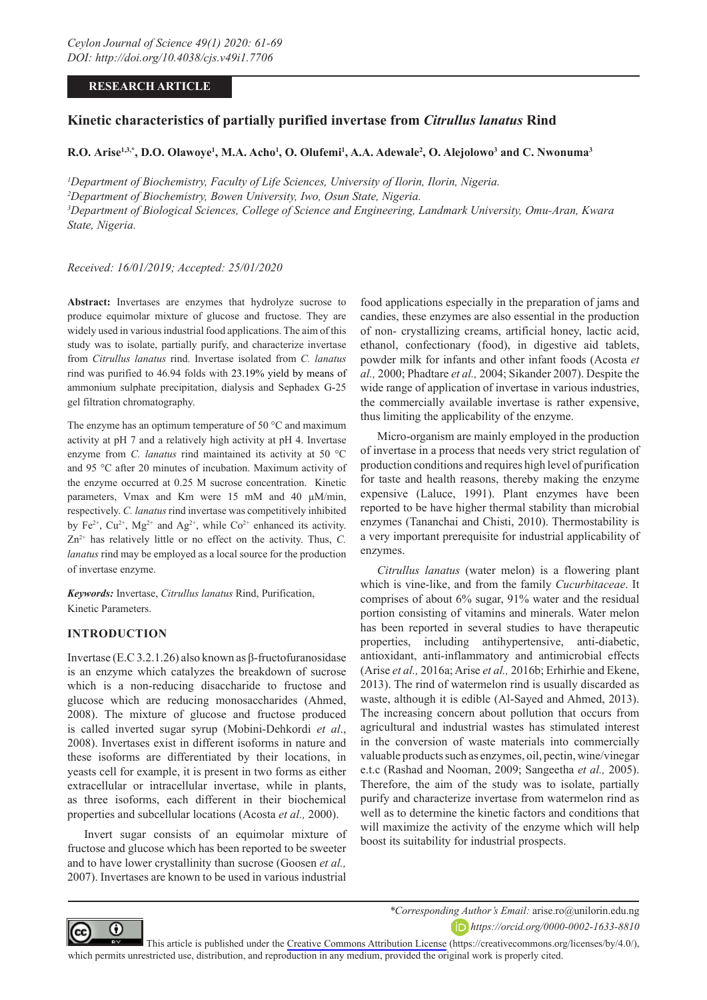# **RESEARCH ARTICLE**

# **Kinetic characteristics of partially purified invertase from** *Citrullus lanatus* **Rind**

**R.O. Arise1,3,\*, D.O. Olawoye1 , M.A. Acho1 , O. Olufemi1 , A.A. Adewale2 , O. Alejolowo3 and C. Nwonuma3**

 *Department of Biochemistry, Faculty of Life Sciences, University of Ilorin, Ilorin, Nigeria. Department of Biochemistry, Bowen University, Iwo, Osun State, Nigeria. Department of Biological Sciences, College of Science and Engineering, Landmark University, Omu-Aran, Kwara State, Nigeria.*

*Received: 16/01/2019; Accepted: 25/01/2020*

**Abstract:** Invertases are enzymes that hydrolyze sucrose to produce equimolar mixture of glucose and fructose. They are widely used in various industrial food applications. The aim of this study was to isolate, partially purify, and characterize invertase from *Citrullus lanatus* rind. Invertase isolated from *C. lanatus* rind was purified to 46.94 folds with 23.19% yield by means of ammonium sulphate precipitation, dialysis and Sephadex G-25 gel filtration chromatography.

The enzyme has an optimum temperature of 50 °C and maximum activity at pH 7 and a relatively high activity at pH 4. Invertase enzyme from *C. lanatus* rind maintained its activity at 50 °C and 95 °C after 20 minutes of incubation. Maximum activity of the enzyme occurred at 0.25 M sucrose concentration. Kinetic parameters, Vmax and Km were 15 mM and 40 µM/min, respectively. *C. lanatus* rind invertase was competitively inhibited by Fe<sup>2+</sup>, Cu<sup>2+</sup>, Mg<sup>2+</sup> and Ag<sup>2+</sup>, while Co<sup>2+</sup> enhanced its activity.  $Zn^{2+}$  has relatively little or no effect on the activity. Thus,  $C$ . *lanatus* rind may be employed as a local source for the production of invertase enzyme.

*Keywords:* Invertase, *Citrullus lanatus* Rind, Purification, Kinetic Parameters.

# **INTRODUCTION**

Invertase (E.C 3.2.1.26) also known as β-fructofuranosidase is an enzyme which catalyzes the breakdown of sucrose which is a non-reducing disaccharide to fructose and glucose which are reducing monosaccharides (Ahmed, 2008). The mixture of glucose and fructose produced is called inverted sugar syrup (Mobini-Dehkordi *et al*., 2008). Invertases exist in different isoforms in nature and these isoforms are differentiated by their locations, in yeasts cell for example, it is present in two forms as either extracellular or intracellular invertase, while in plants, as three isoforms, each different in their biochemical properties and subcellular locations (Acosta *et al.,* 2000).

Invert sugar consists of an equimolar mixture of fructose and glucose which has been reported to be sweeter and to have lower crystallinity than sucrose (Goosen *et al.,*  2007). Invertases are known to be used in various industrial

food applications especially in the preparation of jams and candies, these enzymes are also essential in the production of non- crystallizing creams, artificial honey, lactic acid, ethanol, confectionary (food), in digestive aid tablets, powder milk for infants and other infant foods (Acosta *et al.,* 2000; Phadtare *et al.,* 2004; Sikander 2007). Despite the wide range of application of invertase in various industries, the commercially available invertase is rather expensive, thus limiting the applicability of the enzyme.

Micro-organism are mainly employed in the production of invertase in a process that needs very strict regulation of production conditions and requires high level of purification for taste and health reasons, thereby making the enzyme expensive (Laluce, 1991). Plant enzymes have been reported to be have higher thermal stability than microbial enzymes (Tananchai and Chisti, 2010). Thermostability is a very important prerequisite for industrial applicability of enzymes.

*Citrullus lanatus* (water melon) is a flowering plant which is vine-like, and from the family *Cucurbitaceae*. It comprises of about 6% sugar, 91% water and the residual portion consisting of vitamins and minerals. Water melon has been reported in several studies to have therapeutic properties, including antihypertensive, anti-diabetic, antioxidant, anti-inflammatory and antimicrobial effects (Arise *et al.,* 2016a; Arise *et al.,* 2016b; Erhirhie and Ekene, 2013). The rind of watermelon rind is usually discarded as waste, although it is edible (Al-Sayed and Ahmed, 2013). The increasing concern about pollution that occurs from agricultural and industrial wastes has stimulated interest in the conversion of waste materials into commercially valuable products such as enzymes, oil, pectin, wine/vinegar e.t.c (Rashad and Nooman, 2009; Sangeetha *et al.,* 2005). Therefore, the aim of the study was to isolate, partially purify and characterize invertase from watermelon rind as well as to determine the kinetic factors and conditions that will maximize the activity of the enzyme which will help boost its suitability for industrial prospects.



*\*Corresponding Author's Email:* arise.ro@unilorin.edu.ng

*https://orcid.org/0000-0002-1633-8810*

This article is published under the [Creative Commons Attribution License](https://creativecommons.org/licenses/by/4.0/) (https://creativecommons.org/licenses/by/4.0/), which permits unrestricted use, distribution, and reproduction in any medium, provided the original work is properly cited.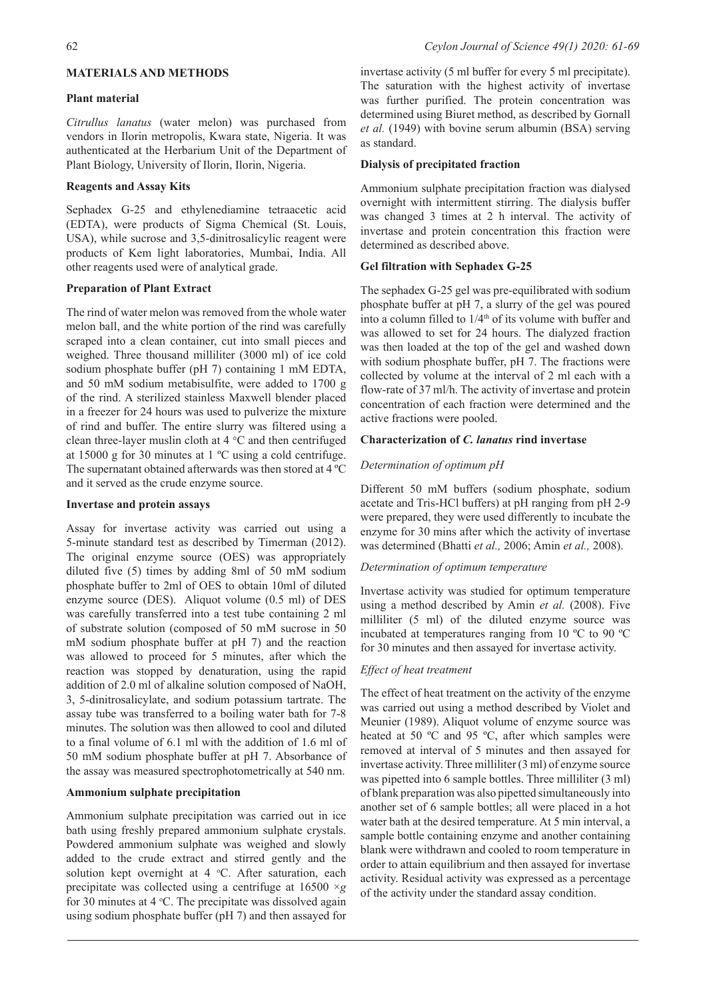# **MATERIALS AND METHODS**

## **Plant material**

*Citrullus lanatus* (water melon) was purchased from vendors in Ilorin metropolis, Kwara state, Nigeria. It was authenticated at the Herbarium Unit of the Department of Plant Biology, University of Ilorin, Ilorin, Nigeria.

# **Reagents and Assay Kits**

Sephadex G-25 and ethylenediamine tetraacetic acid (EDTA), were products of Sigma Chemical (St. Louis, USA), while sucrose and 3,5-dinitrosalicylic reagent were products of Kem light laboratories, Mumbai, India. All other reagents used were of analytical grade.

# **Preparation of Plant Extract**

The rind of water melon was removed from the whole water melon ball, and the white portion of the rind was carefully scraped into a clean container, cut into small pieces and weighed. Three thousand milliliter (3000 ml) of ice cold sodium phosphate buffer (pH 7) containing 1 mM EDTA, and 50 mM sodium metabisulfite, were added to 1700 g of the rind. A sterilized stainless Maxwell blender placed in a freezer for 24 hours was used to pulverize the mixture of rind and buffer. The entire slurry was filtered using a clean three-layer muslin cloth at 4 °C and then centrifuged at 15000 g for 30 minutes at 1 ºC using a cold centrifuge. The supernatant obtained afterwards was then stored at 4 ºC and it served as the crude enzyme source.

### **Invertase and protein assays**

Assay for invertase activity was carried out using a 5-minute standard test as described by Timerman (2012). The original enzyme source (OES) was appropriately diluted five (5) times by adding 8ml of 50 mM sodium phosphate buffer to 2ml of OES to obtain 10ml of diluted enzyme source (DES). Aliquot volume (0.5 ml) of DES was carefully transferred into a test tube containing 2 ml of substrate solution (composed of 50 mM sucrose in 50 mM sodium phosphate buffer at pH 7) and the reaction was allowed to proceed for 5 minutes, after which the reaction was stopped by denaturation, using the rapid addition of 2.0 ml of alkaline solution composed of NaOH, 3, 5-dinitrosalicylate, and sodium potassium tartrate. The assay tube was transferred to a boiling water bath for 7-8 minutes. The solution was then allowed to cool and diluted to a final volume of 6.1 ml with the addition of 1.6 ml of 50 mM sodium phosphate buffer at pH 7. Absorbance of the assay was measured spectrophotometrically at 540 nm.

# **Ammonium sulphate precipitation**

Ammonium sulphate precipitation was carried out in ice bath using freshly prepared ammonium sulphate crystals. Powdered ammonium sulphate was weighed and slowly added to the crude extract and stirred gently and the solution kept overnight at  $4 \text{ }^{\circ}C$ . After saturation, each precipitate was collected using a centrifuge at 16500 ×*g* for 30 minutes at 4  $\degree$ C. The precipitate was dissolved again using sodium phosphate buffer (pH 7) and then assayed for

invertase activity (5 ml buffer for every 5 ml precipitate). The saturation with the highest activity of invertase was further purified. The protein concentration was determined using Biuret method, as described by Gornall *et al.* (1949) with bovine serum albumin (BSA) serving as standard.

# **Dialysis of precipitated fraction**

Ammonium sulphate precipitation fraction was dialysed overnight with intermittent stirring. The dialysis buffer was changed 3 times at 2 h interval. The activity of invertase and protein concentration this fraction were determined as described above.

# **Gel filtration with Sephadex G-25**

The sephadex G-25 gel was pre-equilibrated with sodium phosphate buffer at pH 7, a slurry of the gel was poured into a column filled to  $1/4<sup>th</sup>$  of its volume with buffer and was allowed to set for 24 hours. The dialyzed fraction was then loaded at the top of the gel and washed down with sodium phosphate buffer, pH 7. The fractions were collected by volume at the interval of 2 ml each with a flow-rate of 37 ml/h. The activity of invertase and protein concentration of each fraction were determined and the active fractions were pooled.

### **Characterization of** *C. lanatus* **rind invertase**

# *Determination of optimum pH*

Different 50 mM buffers (sodium phosphate, sodium acetate and Tris-HCl buffers) at pH ranging from pH 2-9 were prepared, they were used differently to incubate the enzyme for 30 mins after which the activity of invertase was determined (Bhatti *et al.,* 2006; Amin *et al.,* 2008).

# *Determination of optimum temperature*

Invertase activity was studied for optimum temperature using a method described by Amin *et al.* (2008). Five milliliter (5 ml) of the diluted enzyme source was incubated at temperatures ranging from 10 ºC to 90 ºC for 30 minutes and then assayed for invertase activity.

### *Effect of heat treatment*

The effect of heat treatment on the activity of the enzyme was carried out using a method described by Violet and Meunier (1989). Aliquot volume of enzyme source was heated at 50 ºC and 95 ºC, after which samples were removed at interval of 5 minutes and then assayed for invertase activity. Three milliliter (3 ml) of enzyme source was pipetted into 6 sample bottles. Three milliliter (3 ml) of blank preparation was also pipetted simultaneously into another set of 6 sample bottles; all were placed in a hot water bath at the desired temperature. At 5 min interval, a sample bottle containing enzyme and another containing blank were withdrawn and cooled to room temperature in order to attain equilibrium and then assayed for invertase activity. Residual activity was expressed as a percentage of the activity under the standard assay condition.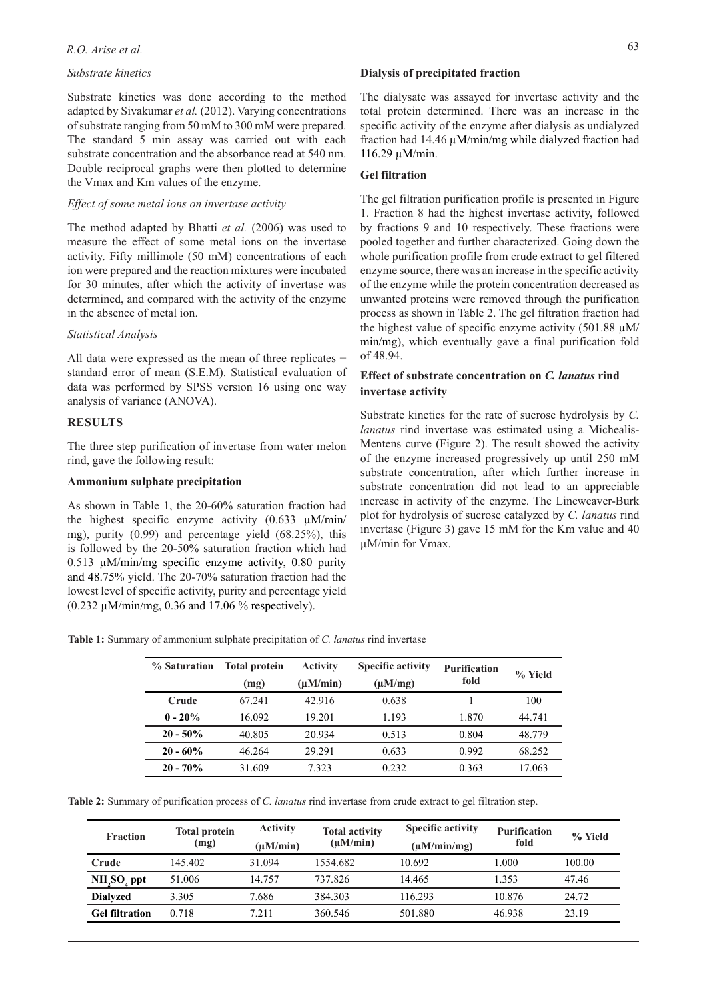# *R.O. Arise et al.* 63

## *Substrate kinetics*

Substrate kinetics was done according to the method adapted by Sivakumar *et al.* (2012). Varying concentrations of substrate ranging from 50 mM to 300 mM were prepared. The standard 5 min assay was carried out with each substrate concentration and the absorbance read at 540 nm. Double reciprocal graphs were then plotted to determine the Vmax and Km values of the enzyme.

#### *Effect of some metal ions on invertase activity*

The method adapted by Bhatti *et al.* (2006) was used to measure the effect of some metal ions on the invertase activity. Fifty millimole (50 mM) concentrations of each ion were prepared and the reaction mixtures were incubated for 30 minutes, after which the activity of invertase was determined, and compared with the activity of the enzyme in the absence of metal ion.

#### *Statistical Analysis*

All data were expressed as the mean of three replicates  $\pm$ standard error of mean (S.E.M). Statistical evaluation of data was performed by SPSS version 16 using one way analysis of variance (ANOVA).

### **RESULTS**

The three step purification of invertase from water melon rind, gave the following result:

#### **Ammonium sulphate precipitation**

As shown in Table 1, the 20-60% saturation fraction had the highest specific enzyme activity (0.633 µM/min/ mg), purity (0.99) and percentage yield (68.25%), this is followed by the 20-50% saturation fraction which had 0.513  $\mu$ M/min/mg specific enzyme activity, 0.80 purity and 48.75% yield. The 20-70% saturation fraction had the lowest level of specific activity, purity and percentage yield (0.232 µM/min/mg, 0.36 and 17.06 % respectively).

### **Dialysis of precipitated fraction**

The dialysate was assayed for invertase activity and the total protein determined. There was an increase in the specific activity of the enzyme after dialysis as undialyzed fraction had 14.46 µM/min/mg while dialyzed fraction had 116.29 µM/min.

#### **Gel filtration**

The gel filtration purification profile is presented in Figure 1. Fraction 8 had the highest invertase activity, followed by fractions 9 and 10 respectively. These fractions were pooled together and further characterized. Going down the whole purification profile from crude extract to gel filtered enzyme source, there was an increase in the specific activity of the enzyme while the protein concentration decreased as unwanted proteins were removed through the purification process as shown in Table 2. The gel filtration fraction had the highest value of specific enzyme activity  $(501.88 \mu M)$ min/mg), which eventually gave a final purification fold of 48.94.

# **Effect of substrate concentration on** *C. lanatus* **rind invertase activity**

Substrate kinetics for the rate of sucrose hydrolysis by *C. lanatus* rind invertase was estimated using a Michealis-Mentens curve (Figure 2). The result showed the activity of the enzyme increased progressively up until 250 mM substrate concentration, after which further increase in substrate concentration did not lead to an appreciable increase in activity of the enzyme. The Lineweaver-Burk plot for hydrolysis of sucrose catalyzed by *C. lanatus* rind invertase (Figure 3) gave 15 mM for the Km value and 40 µM/min for Vmax.

**Table 1:** Summary of ammonium sulphate precipitation of *C. lanatus* rind invertase

| % Saturation | <b>Total protein</b> | <b>Activity</b> | <b>Specific activity</b> | <b>Purification</b> | % Yield |
|--------------|----------------------|-----------------|--------------------------|---------------------|---------|
|              | (mg)                 | $(\mu M/min)$   | $(\mu M/mg)$             | fold                |         |
| Crude        | 67.241               | 42.916          | 0.638                    |                     | 100     |
| $0 - 20%$    | 16.092               | 19.201          | 1.193                    | 1.870               | 44.741  |
| $20 - 50\%$  | 40.805               | 20.934          | 0.513                    | 0.804               | 48.779  |
| $20 - 60\%$  | 46.264               | 29.291          | 0.633                    | 0.992               | 68.252  |
| $20 - 70%$   | 31.609               | 7.323           | 0.232                    | 0.363               | 17.063  |

**Table 2:** Summary of purification process of *C. lanatus* rind invertase from crude extract to gel filtration step.

| <b>Fraction</b>       | <b>Total protein</b><br>(mg) | <b>Activity</b><br>$(\mu M/min)$ | <b>Total activity</b><br>$(\mu M/min)$ | <b>Specific activity</b><br>$(\mu M/min/mg)$ | <b>Purification</b><br>fold | % Yield |
|-----------------------|------------------------------|----------------------------------|----------------------------------------|----------------------------------------------|-----------------------------|---------|
| Crude                 | 145.402                      | 31.094                           | 1554.682                               | 10.692                                       | 000                         | 100.00  |
| $NH, SO4$ ppt         | 51.006                       | 14.757                           | 737.826                                | 14.465                                       | 1.353                       | 47.46   |
| <b>Dialyzed</b>       | 3.305                        | 7.686                            | 384.303                                | 116.293                                      | 10.876                      | 24.72   |
| <b>Gel filtration</b> | 0.718                        | 7.211                            | 360.546                                | 501.880                                      | 46.938                      | 23.19   |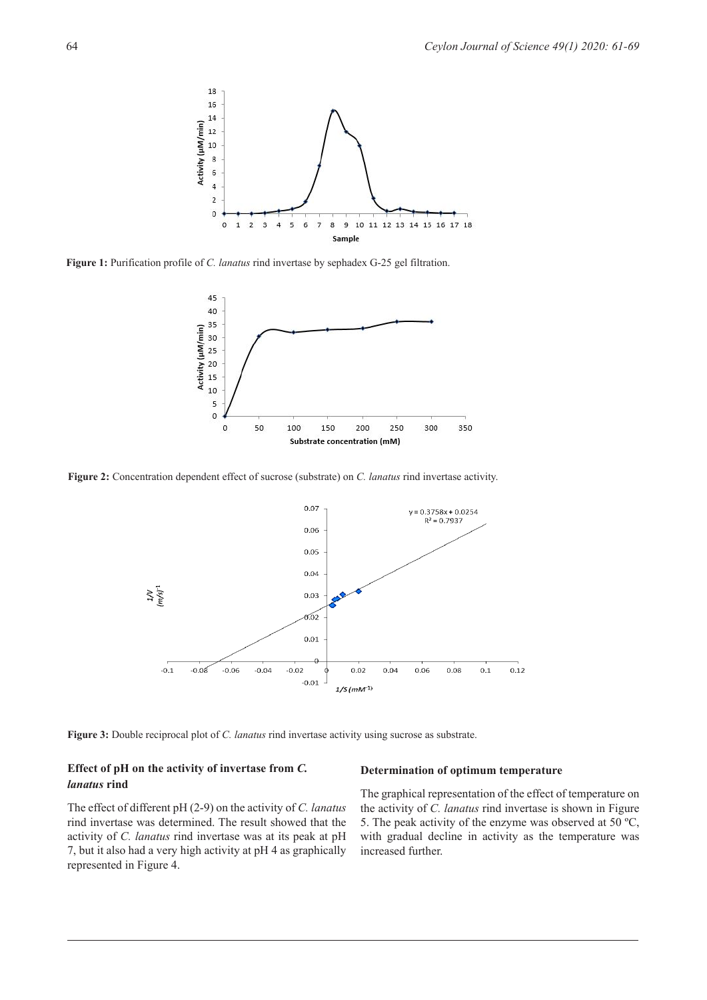

**Figure 1:** Purification profile of *C. lanatus* rind invertase by sephadex G-25 gel filtration.



**Figure 2:** Concentration dependent effect of sucrose (substrate) on *C. lanatus* rind invertase activity.



**Figure 3:** Double reciprocal plot of *C. lanatus* rind invertase activity using sucrose as substrate.

# **Effect of pH on the activity of invertase from** *C. lanatus* **rind**

The effect of different pH (2-9) on the activity of *C. lanatus* rind invertase was determined. The result showed that the activity of *C. lanatus* rind invertase was at its peak at pH 7, but it also had a very high activity at pH 4 as graphically represented in Figure 4.

#### **Determination of optimum temperature**

The graphical representation of the effect of temperature on the activity of *C. lanatus* rind invertase is shown in Figure 5. The peak activity of the enzyme was observed at 50 ºC, with gradual decline in activity as the temperature was increased further.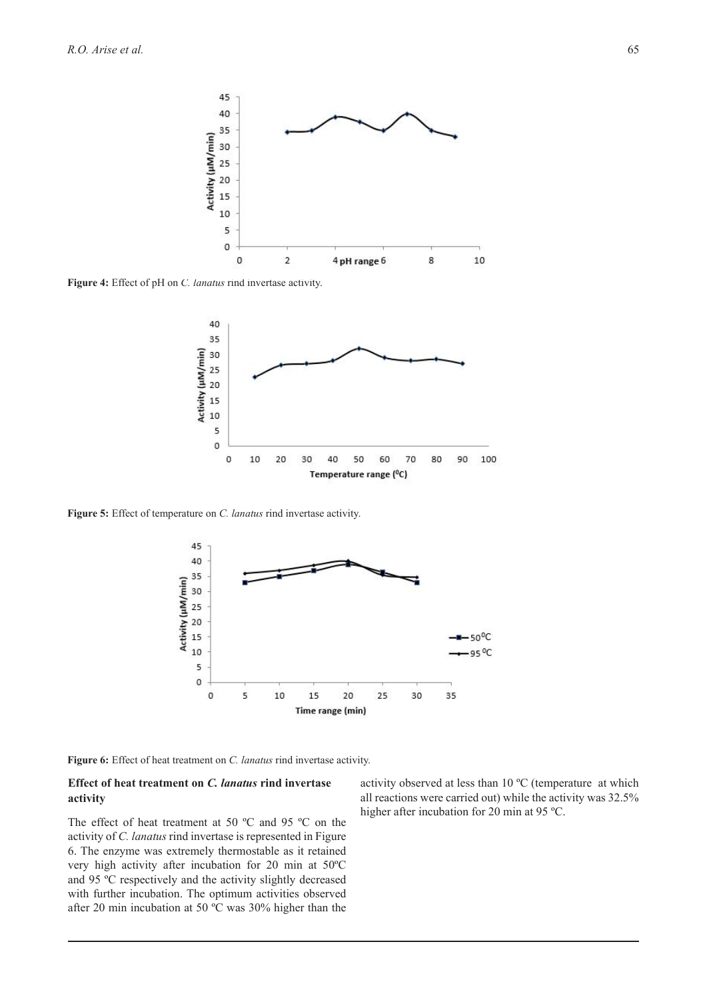

**Figure 4:** Effect of pH on *C. lanatus* rind invertase activity.



**Figure 5:** Effect of temperature on *C. lanatus* rind invertase activity.



**Figure 6:** Effect of heat treatment on *C. lanatus* rind invertase activity.

# **Effect of heat treatment on** *C. lanatus* **rind invertase activity**

The effect of heat treatment at 50 ºC and 95 ºC on the activity of *C. lanatus* rind invertase is represented in Figure 6. The enzyme was extremely thermostable as it retained very high activity after incubation for 20 min at 50ºC and 95 ºC respectively and the activity slightly decreased with further incubation. The optimum activities observed after 20 min incubation at 50 ºC was 30% higher than the

activity observed at less than 10 ºC (temperature at which all reactions were carried out) while the activity was 32.5% higher after incubation for 20 min at 95 °C.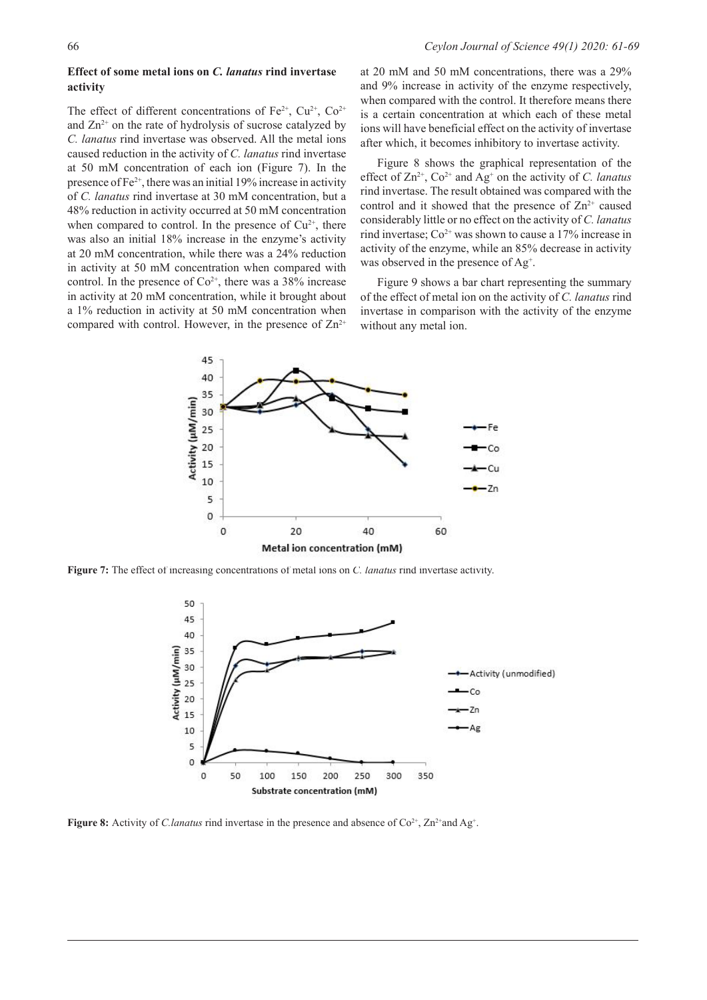# **Effect of some metal ions on** *C. lanatus* **rind invertase activity**

The effect of different concentrations of  $Fe^{2+}$ ,  $Cu^{2+}$ ,  $Co^{2+}$ and  $Zn^{2+}$  on the rate of hydrolysis of sucrose catalyzed by *C. lanatus* rind invertase was observed. All the metal ions caused reduction in the activity of *C. lanatus* rind invertase at 50 mM concentration of each ion (Figure 7). In the presence of  $Fe^{2+}$ , there was an initial 19% increase in activity of *C. lanatus* rind invertase at 30 mM concentration, but a 48% reduction in activity occurred at 50 mM concentration when compared to control. In the presence of  $Cu<sup>2+</sup>$ , there was also an initial 18% increase in the enzyme's activity at 20 mM concentration, while there was a 24% reduction in activity at 50 mM concentration when compared with control. In the presence of  $Co^{2+}$ , there was a 38% increase in activity at 20 mM concentration, while it brought about a 1% reduction in activity at 50 mM concentration when compared with control. However, in the presence of  $\text{Zn}^{2+}$ 

at 20 mM and 50 mM concentrations, there was a 29% and 9% increase in activity of the enzyme respectively, when compared with the control. It therefore means there is a certain concentration at which each of these metal ions will have beneficial effect on the activity of invertase after which, it becomes inhibitory to invertase activity.

Figure 8 shows the graphical representation of the effect of  $\text{Zn}^{2+}$ ,  $\text{Co}^{2+}$  and  $\text{Ag}^{+}$  on the activity of *C. lanatus* rind invertase. The result obtained was compared with the control and it showed that the presence of  $\text{Zn}^{2+}$  caused considerably little or no effect on the activity of *C. lanatus* rind invertase;  $Co^{2+}$  was shown to cause a 17% increase in activity of the enzyme, while an 85% decrease in activity was observed in the presence of Ag<sup>+</sup>.

Figure 9 shows a bar chart representing the summary of the effect of metal ion on the activity of *C. lanatus* rind invertase in comparison with the activity of the enzyme without any metal ion.



**Figure 7:** The effect of increasing concentrations of metal ions on *C. lanatus* rind invertase activity.



**Figure 8:** Activity of *C.lanatus* rind invertase in the presence and absence of  $\text{Co}^{2+}$ ,  $\text{Zn}^{2+}$  and Ag<sup>+</sup>.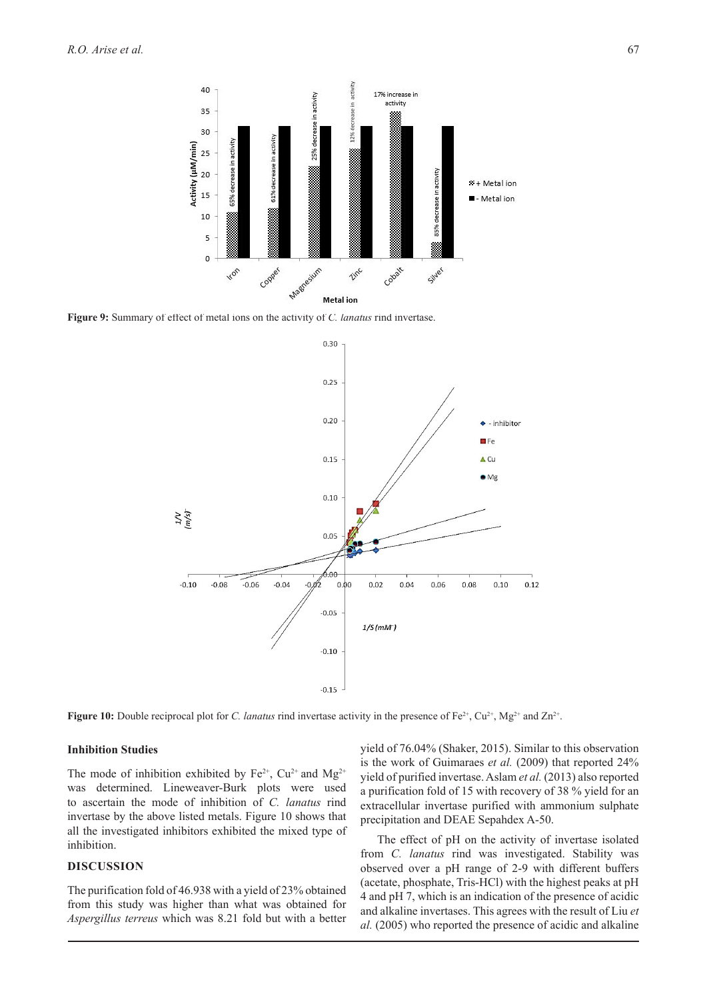

**Figure 9:** Summary of effect of metal ions on the activity of *C. lanatus* rind invertase.



**Figure 10:** Double reciprocal plot for *C. lanatus* rind invertase activity in the presence of  $Fe^{2+}$ ,  $Cu^{2+}$ ,  $Mg^{2+}$  and  $Zn^{2+}$ .

### **Inhibition Studies**

The mode of inhibition exhibited by  $Fe^{2+}$ ,  $Cu^{2+}$  and  $Mg^{2+}$ was determined. Lineweaver-Burk plots were used to ascertain the mode of inhibition of *C. lanatus* rind invertase by the above listed metals. Figure 10 shows that all the investigated inhibitors exhibited the mixed type of inhibition.

# **DISCUSSION**

The purification fold of 46.938 with a yield of 23% obtained from this study was higher than what was obtained for *Aspergillus terreus* which was 8.21 fold but with a better

yield of 76.04% (Shaker, 2015). Similar to this observation is the work of Guimaraes *et al.* (2009) that reported 24% yield of purified invertase. Aslam *et al.* (2013) also reported a purification fold of 15 with recovery of 38 % yield for an extracellular invertase purified with ammonium sulphate precipitation and DEAE Sepahdex A-50.

The effect of pH on the activity of invertase isolated from *C. lanatus* rind was investigated. Stability was observed over a pH range of 2-9 with different buffers (acetate, phosphate, Tris-HCl) with the highest peaks at pH 4 and pH 7, which is an indication of the presence of acidic and alkaline invertases. This agrees with the result of Liu *et al.* (2005) who reported the presence of acidic and alkaline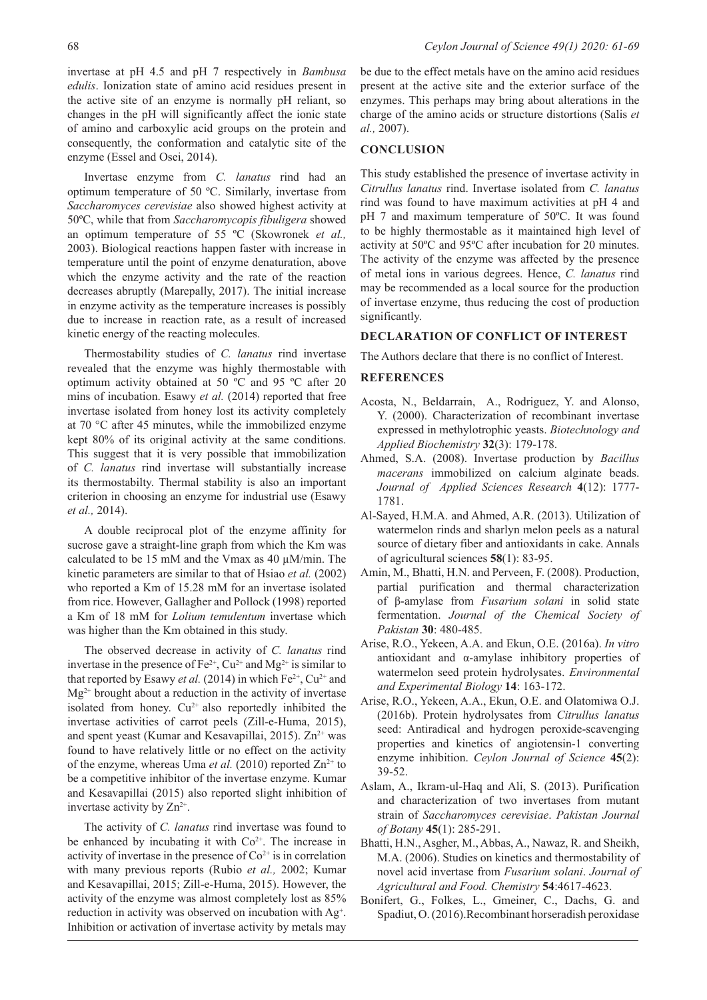Invertase enzyme from *C. lanatus* rind had an optimum temperature of 50 ºC. Similarly, invertase from *Saccharomyces cerevisiae* also showed highest activity at 50ºC, while that from *Saccharomycopis fibuligera* showed an optimum temperature of 55 ºC (Skowronek *et al.,* 2003). Biological reactions happen faster with increase in temperature until the point of enzyme denaturation, above which the enzyme activity and the rate of the reaction decreases abruptly (Marepally, 2017). The initial increase in enzyme activity as the temperature increases is possibly due to increase in reaction rate, as a result of increased kinetic energy of the reacting molecules.

Thermostability studies of *C. lanatus* rind invertase revealed that the enzyme was highly thermostable with optimum activity obtained at 50 ºC and 95 ºC after 20 mins of incubation. Esawy *et al.* (2014) reported that free invertase isolated from honey lost its activity completely at 70 °C after 45 minutes, while the immobilized enzyme kept 80% of its original activity at the same conditions. This suggest that it is very possible that immobilization of *C. lanatus* rind invertase will substantially increase its thermostabilty. Thermal stability is also an important criterion in choosing an enzyme for industrial use (Esawy *et al.,* 2014).

A double reciprocal plot of the enzyme affinity for sucrose gave a straight-line graph from which the Km was calculated to be 15 mM and the Vmax as 40  $\mu$ M/min. The kinetic parameters are similar to that of Hsiao *et al.* (2002) who reported a Km of 15.28 mM for an invertase isolated from rice. However, Gallagher and Pollock (1998) reported a Km of 18 mM for *Lolium temulentum* invertase which was higher than the Km obtained in this study.

The observed decrease in activity of *C. lanatus* rind invertase in the presence of  $Fe^{2+}$ ,  $Cu^{2+}$  and  $Mg^{2+}$  is similar to that reported by Esawy *et al.* (2014) in which  $Fe^{2+}$ ,  $Cu^{2+}$  and Mg2+ brought about a reduction in the activity of invertase isolated from honey.  $Cu^{2+}$  also reportedly inhibited the invertase activities of carrot peels (Zill-e-Huma, 2015), and spent yeast (Kumar and Kesavapillai, 2015).  $Zn^{2+}$  was found to have relatively little or no effect on the activity of the enzyme, whereas Uma *et al.* (2010) reported  $\text{Zn}^{2+}$  to be a competitive inhibitor of the invertase enzyme. Kumar and Kesavapillai (2015) also reported slight inhibition of invertase activity by  $Zn^{2+}$ .

The activity of *C. lanatus* rind invertase was found to be enhanced by incubating it with  $Co<sup>2+</sup>$ . The increase in activity of invertase in the presence of  $Co<sup>2+</sup>$  is in correlation with many previous reports (Rubio *et al.,* 2002; Kumar and Kesavapillai, 2015; Zill-e-Huma, 2015). However, the activity of the enzyme was almost completely lost as 85% reduction in activity was observed on incubation with Ag<sup>+</sup>. Inhibition or activation of invertase activity by metals may

be due to the effect metals have on the amino acid residues present at the active site and the exterior surface of the enzymes. This perhaps may bring about alterations in the charge of the amino acids or structure distortions (Salis *et al.,* 2007).

### **CONCLUSION**

This study established the presence of invertase activity in *Citrullus lanatus* rind. Invertase isolated from *C. lanatus* rind was found to have maximum activities at pH 4 and pH 7 and maximum temperature of 50ºC. It was found to be highly thermostable as it maintained high level of activity at 50ºC and 95ºC after incubation for 20 minutes. The activity of the enzyme was affected by the presence of metal ions in various degrees. Hence, *C. lanatus* rind may be recommended as a local source for the production of invertase enzyme, thus reducing the cost of production significantly.

### **DECLARATION OF CONFLICT OF INTEREST**

The Authors declare that there is no conflict of Interest.

#### **REFERENCES**

- Acosta, N., Beldarrain, A., Rodriguez, Y. and Alonso, Y. (2000). Characterization of recombinant invertase expressed in methylotrophic yeasts. *Biotechnology and Applied Biochemistry* **32**(3): 179-178.
- Ahmed, S.A. (2008). Invertase production by *Bacillus macerans* immobilized on calcium alginate beads. *Journal of Applied Sciences Research* **4**(12): 1777- 1781.
- Al-Sayed, H.M.A. and Ahmed, A.R. (2013). Utilization of watermelon rinds and sharlyn melon peels as a natural source of dietary fiber and antioxidants in cake. Annals of agricultural sciences **58**(1): 83-95.
- Amin, M., Bhatti, H.N. and Perveen, F. (2008). Production, partial purification and thermal characterization of β-amylase from *Fusarium solani* in solid state fermentation. *Journal of the Chemical Society of Pakistan* **30**: 480-485.
- Arise, R.O., Yekeen, A.A. and Ekun, O.E. (2016a). *In vitro* antioxidant and α-amylase inhibitory properties of watermelon seed protein hydrolysates. *Environmental and Experimental Biology* **14**: 163-172.
- Arise, R.O., Yekeen, A.A., Ekun, O.E. and Olatomiwa O.J. (2016b). Protein hydrolysates from *Citrullus lanatus* seed: Antiradical and hydrogen peroxide-scavenging properties and kinetics of angiotensin-1 converting enzyme inhibition. *Ceylon Journal of Science* **45**(2): 39-52.
- Aslam, A., Ikram-ul-Haq and Ali, S. (2013). Purification and characterization of two invertases from mutant strain of *Saccharomyces cerevisiae*. *Pakistan Journal of Botany* **45**(1): 285-291.
- Bhatti, H.N., Asgher, M., Abbas, A., Nawaz, R. and Sheikh, M.A. (2006). Studies on kinetics and thermostability of novel acid invertase from *Fusarium solani*. *Journal of Agricultural and Food. Chemistry* **54**:4617-4623.
- Bonifert, G., Folkes, L., Gmeiner, C., Dachs, G. and Spadiut, O. (2016).Recombinant horseradish peroxidase